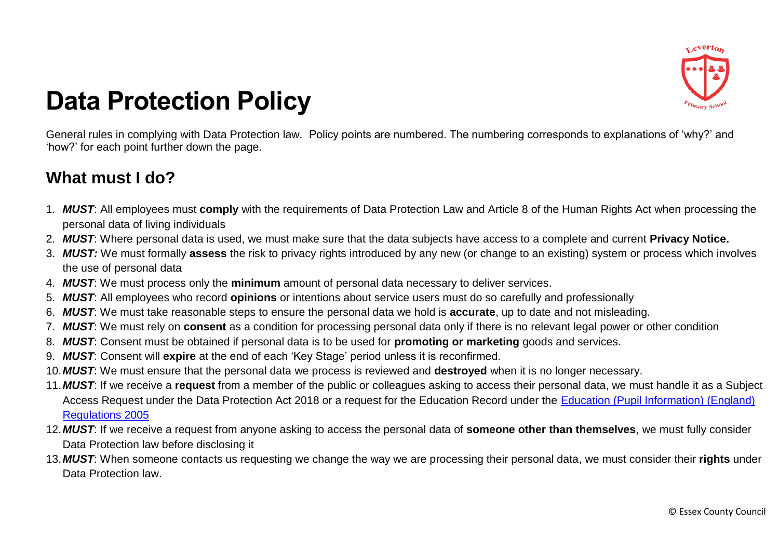

# **Data Protection Policy**

General rules in complying with Data Protection law. Policy points are numbered. The numbering corresponds to explanations of 'why?' and 'how?' for each point further down the page.

## **What must I do?**

- 1. *MUST*: All employees must **comply** with the requirements of Data Protection Law and Article 8 of the Human Rights Act when processing the personal data of living individuals
- 2. *MUST*: Where personal data is used, we must make sure that the data subjects have access to a complete and current **Privacy Notice.**
- 3. *MUST:* We must formally **assess** the risk to privacy rights introduced by any new (or change to an existing) system or process which involves the use of personal data
- 4. *MUST*: We must process only the **minimum** amount of personal data necessary to deliver services.
- 5. *MUST*: All employees who record **opinions** or intentions about service users must do so carefully and professionally
- 6. *MUST*: We must take reasonable steps to ensure the personal data we hold is **accurate**, up to date and not misleading.
- 7. *MUST*: We must rely on **consent** as a condition for processing personal data only if there is no relevant legal power or other condition
- 8. *MUST*: Consent must be obtained if personal data is to be used for **promoting or marketing** goods and services.
- 9. *MUST*: Consent will **expire** at the end of each 'Key Stage' period unless it is reconfirmed.
- 10.*MUST*: We must ensure that the personal data we process is reviewed and **destroyed** when it is no longer necessary.
- 11.*MUST*: If we receive a **request** from a member of the public or colleagues asking to access their personal data, we must handle it as a Subject Access Request under the Data Protection Act 2018 or a request for the Education Record under the [Education \(Pupil Information\) \(England\)](http://www.legislation.gov.uk/uksi/2005/1437/pdfs/uksi_20051437_en.pdf)  [Regulations 2005](http://www.legislation.gov.uk/uksi/2005/1437/pdfs/uksi_20051437_en.pdf)
- 12.*MUST*: If we receive a request from anyone asking to access the personal data of **someone other than themselves**, we must fully consider Data Protection law before disclosing it
- 13.*MUST*: When someone contacts us requesting we change the way we are processing their personal data, we must consider their **rights** under Data Protection law.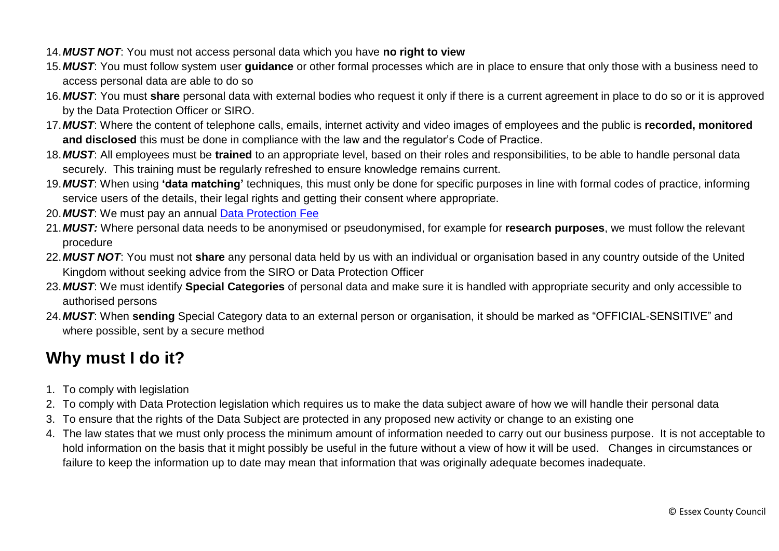- 14.*MUST NOT*: You must not access personal data which you have **no right to view**
- 15.*MUST*: You must follow system user **guidance** or other formal processes which are in place to ensure that only those with a business need to access personal data are able to do so
- 16.*MUST*: You must **share** personal data with external bodies who request it only if there is a current agreement in place to do so or it is approved by the Data Protection Officer or SIRO.
- 17.*MUST*: Where the content of telephone calls, emails, internet activity and video images of employees and the public is **recorded, monitored and disclosed** this must be done in compliance with the law and the regulator's Code of Practice.
- 18.*MUST*: All employees must be **trained** to an appropriate level, based on their roles and responsibilities, to be able to handle personal data securely. This training must be regularly refreshed to ensure knowledge remains current.
- 19.*MUST*: When using **'data matching'** techniques, this must only be done for specific purposes in line with formal codes of practice, informing service users of the details, their legal rights and getting their consent where appropriate.
- 20.*MUST*: We must pay an annual [Data Protection Fee](https://ico.org.uk/for-organisations/data-protection-fee/)
- 21.*MUST:* Where personal data needs to be anonymised or pseudonymised, for example for **research purposes**, we must follow the relevant procedure
- 22.*MUST NOT*: You must not **share** any personal data held by us with an individual or organisation based in any country outside of the United Kingdom without seeking advice from the SIRO or Data Protection Officer
- 23.*MUST*: We must identify **Special Categories** of personal data and make sure it is handled with appropriate security and only accessible to authorised persons
- 24.*MUST*: When **sending** Special Category data to an external person or organisation, it should be marked as "OFFICIAL-SENSITIVE" and where possible, sent by a secure method

### **Why must I do it?**

- 1. To comply with legislation
- 2. To comply with Data Protection legislation which requires us to make the data subject aware of how we will handle their personal data
- 3. To ensure that the rights of the Data Subject are protected in any proposed new activity or change to an existing one
- 4. The law states that we must only process the minimum amount of information needed to carry out our business purpose. It is not acceptable to hold information on the basis that it might possibly be useful in the future without a view of how it will be used. Changes in circumstances or failure to keep the information up to date may mean that information that was originally adequate becomes inadequate.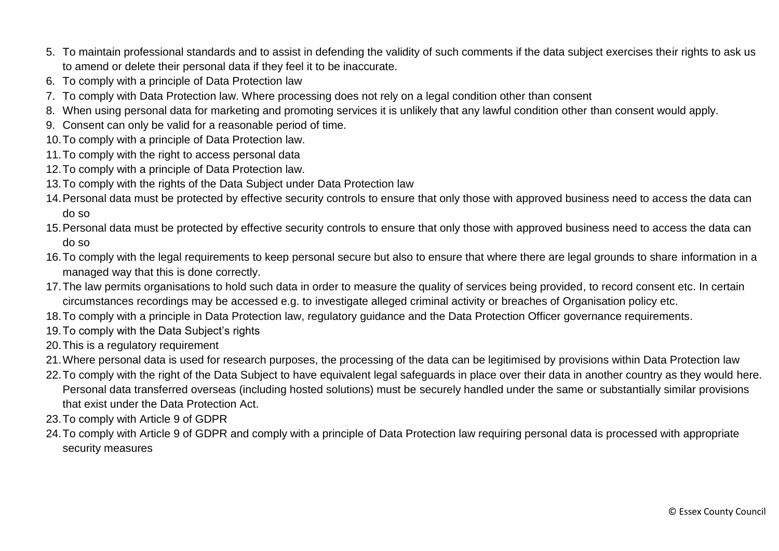- 5. To maintain professional standards and to assist in defending the validity of such comments if the data subject exercises their rights to ask us to amend or delete their personal data if they feel it to be inaccurate.
- 6. To comply with a principle of Data Protection law
- 7. To comply with Data Protection law. Where processing does not rely on a legal condition other than consent
- 8. When using personal data for marketing and promoting services it is unlikely that any lawful condition other than consent would apply.
- 9. Consent can only be valid for a reasonable period of time.
- 10.To comply with a principle of Data Protection law.
- 11.To comply with the right to access personal data
- 12.To comply with a principle of Data Protection law.
- 13.To comply with the rights of the Data Subject under Data Protection law
- 14.Personal data must be protected by effective security controls to ensure that only those with approved business need to access the data can do so
- 15.Personal data must be protected by effective security controls to ensure that only those with approved business need to access the data can do so
- 16.To comply with the legal requirements to keep personal secure but also to ensure that where there are legal grounds to share information in a managed way that this is done correctly.
- 17.The law permits organisations to hold such data in order to measure the quality of services being provided, to record consent etc. In certain circumstances recordings may be accessed e.g. to investigate alleged criminal activity or breaches of Organisation policy etc.
- 18.To comply with a principle in Data Protection law, regulatory guidance and the Data Protection Officer governance requirements.
- 19.To comply with the Data Subject's rights
- 20.This is a regulatory requirement
- 21.Where personal data is used for research purposes, the processing of the data can be legitimised by provisions within Data Protection law
- 22.To comply with the right of the Data Subject to have equivalent legal safeguards in place over their data in another country as they would here. Personal data transferred overseas (including hosted solutions) must be securely handled under the same or substantially similar provisions that exist under the Data Protection Act.
- 23.To comply with Article 9 of GDPR
- 24.To comply with Article 9 of GDPR and comply with a principle of Data Protection law requiring personal data is processed with appropriate security measures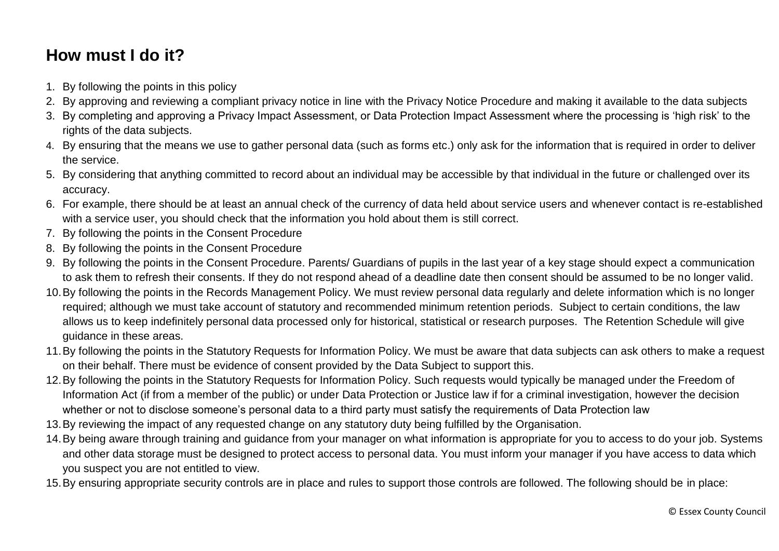### **How must I do it?**

- 1. By following the points in this policy
- 2. By approving and reviewing a compliant privacy notice in line with the Privacy Notice Procedure and making it available to the data subjects
- 3. By completing and approving a Privacy Impact Assessment, or Data Protection Impact Assessment where the processing is 'high risk' to the rights of the data subjects.
- 4. By ensuring that the means we use to gather personal data (such as forms etc.) only ask for the information that is required in order to deliver the service.
- 5. By considering that anything committed to record about an individual may be accessible by that individual in the future or challenged over its accuracy.
- 6. For example, there should be at least an annual check of the currency of data held about service users and whenever contact is re-established with a service user, you should check that the information you hold about them is still correct.
- 7. By following the points in the Consent Procedure
- 8. By following the points in the Consent Procedure
- 9. By following the points in the Consent Procedure. Parents/ Guardians of pupils in the last year of a key stage should expect a communication to ask them to refresh their consents. If they do not respond ahead of a deadline date then consent should be assumed to be no longer valid.
- 10.By following the points in the Records Management Policy. We must review personal data regularly and delete information which is no longer required; although we must take account of statutory and recommended minimum retention periods. Subject to certain conditions, the law allows us to keep indefinitely personal data processed only for historical, statistical or research purposes. The Retention Schedule will give guidance in these areas.
- 11.By following the points in the Statutory Requests for Information Policy. We must be aware that data subjects can ask others to make a request on their behalf. There must be evidence of consent provided by the Data Subject to support this.
- 12.By following the points in the Statutory Requests for Information Policy. Such requests would typically be managed under the Freedom of Information Act (if from a member of the public) or under Data Protection or Justice law if for a criminal investigation, however the decision whether or not to disclose someone's personal data to a third party must satisfy the requirements of Data Protection law
- 13.By reviewing the impact of any requested change on any statutory duty being fulfilled by the Organisation.
- 14.By being aware through training and guidance from your manager on what information is appropriate for you to access to do your job. Systems and other data storage must be designed to protect access to personal data. You must inform your manager if you have access to data which you suspect you are not entitled to view.
- 15.By ensuring appropriate security controls are in place and rules to support those controls are followed. The following should be in place: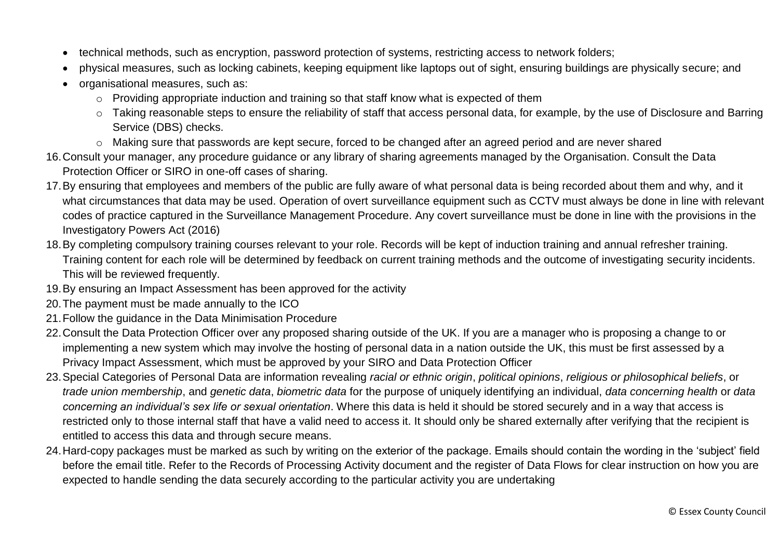- technical methods, such as encryption, password protection of systems, restricting access to network folders;
- physical measures, such as locking cabinets, keeping equipment like laptops out of sight, ensuring buildings are physically secure; and
- organisational measures, such as:
	- o Providing appropriate induction and training so that staff know what is expected of them
	- o Taking reasonable steps to ensure the reliability of staff that access personal data, for example, by the use of Disclosure and Barring Service (DBS) checks.
	- o Making sure that passwords are kept secure, forced to be changed after an agreed period and are never shared
- 16.Consult your manager, any procedure guidance or any library of sharing agreements managed by the Organisation. Consult the Data Protection Officer or SIRO in one-off cases of sharing.
- 17.By ensuring that employees and members of the public are fully aware of what personal data is being recorded about them and why, and it what circumstances that data may be used. Operation of overt surveillance equipment such as CCTV must always be done in line with relevant codes of practice captured in the Surveillance Management Procedure. Any covert surveillance must be done in line with the provisions in the Investigatory Powers Act (2016)
- 18.By completing compulsory training courses relevant to your role. Records will be kept of induction training and annual refresher training. Training content for each role will be determined by feedback on current training methods and the outcome of investigating security incidents. This will be reviewed frequently.
- 19.By ensuring an Impact Assessment has been approved for the activity
- 20.The payment must be made annually to the ICO
- 21.Follow the guidance in the Data Minimisation Procedure
- 22.Consult the Data Protection Officer over any proposed sharing outside of the UK. If you are a manager who is proposing a change to or implementing a new system which may involve the hosting of personal data in a nation outside the UK, this must be first assessed by a Privacy Impact Assessment, which must be approved by your SIRO and Data Protection Officer
- 23.Special Categories of Personal Data are information revealing *racial or ethnic origin*, *political opinions*, *religious or philosophical beliefs*, or *trade union membership*, and *genetic data*, *biometric data* for the purpose of uniquely identifying an individual, *data concerning health* or *data concerning an individual's sex life or sexual orientation*. Where this data is held it should be stored securely and in a way that access is restricted only to those internal staff that have a valid need to access it. It should only be shared externally after verifying that the recipient is entitled to access this data and through secure means.
- 24.Hard-copy packages must be marked as such by writing on the exterior of the package. Emails should contain the wording in the 'subject' field before the email title. Refer to the Records of Processing Activity document and the register of Data Flows for clear instruction on how you are expected to handle sending the data securely according to the particular activity you are undertaking